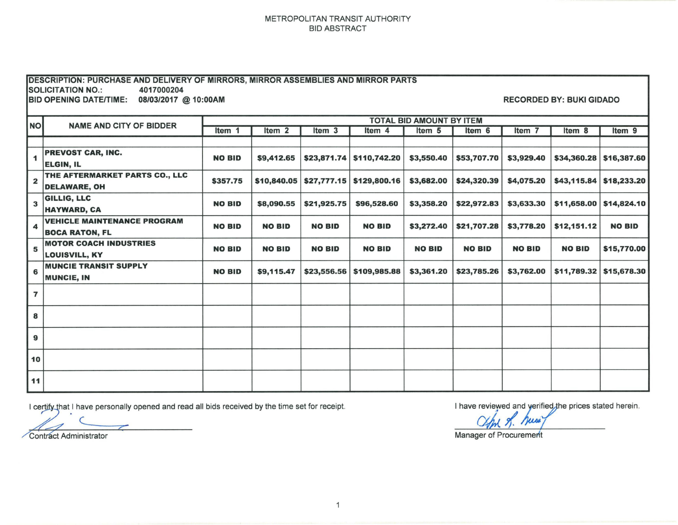## METROPOLITAN TRANSIT AUTHORITY BID ABSTRACT

| <b>DESCRIPTION: PURCHASE AND DELIVERY OF MIRRORS, MIRROR ASSEMBLIES AND MIRROR PARTS</b><br><b>SOLICITATION NO.:</b><br>4017000204<br><b>BID OPENING DATE/TIME:</b><br>08/03/2017 @ 10:00AM<br><b>RECORDED BY: BUKI GIDADO</b> |                                                             |                                 |                   |               |                               |               |               |               |               |                   |
|--------------------------------------------------------------------------------------------------------------------------------------------------------------------------------------------------------------------------------|-------------------------------------------------------------|---------------------------------|-------------------|---------------|-------------------------------|---------------|---------------|---------------|---------------|-------------------|
|                                                                                                                                                                                                                                | <b>NAME AND CITY OF BIDDER</b>                              | <b>TOTAL BID AMOUNT BY ITEM</b> |                   |               |                               |               |               |               |               |                   |
| <b>NO</b>                                                                                                                                                                                                                      |                                                             | Item 1                          | Item <sub>2</sub> | Item 3        | Item 4                        | Item 5        | Item 6        | Item 7        | Item 8        | Item <sub>9</sub> |
|                                                                                                                                                                                                                                |                                                             |                                 |                   |               |                               |               |               |               |               |                   |
| 1                                                                                                                                                                                                                              | PREVOST CAR, INC.<br><b>ELGIN, IL</b>                       | <b>NO BID</b>                   | \$9,412.65        |               | $$23,871.74 \mid $110,742.20$ | \$3,550.40    | \$53,707.70   | \$3,929.40    | \$34,360.28   | \$16,387.60       |
| $\mathbf{2}$                                                                                                                                                                                                                   | THE AFTERMARKET PARTS CO., LLC<br><b>DELAWARE, OH</b>       | \$357.75                        | \$10,840.05       |               | $$27,777.15$ \$129,800.16     | \$3,682.00    | \$24,320.39   | \$4,075.20    | \$43,115.84   | \$18,233.20       |
| 3                                                                                                                                                                                                                              | GILLIG, LLC<br><b>HAYWARD, CA</b>                           | <b>NO BID</b>                   | \$8,090.55        | \$21,925.75   | \$96,528.60                   | \$3,358.20    | \$22,972.83   | \$3,633.30    | \$11,658.00   | \$14,824.10       |
| 4                                                                                                                                                                                                                              | <b>VEHICLE MAINTENANCE PROGRAM</b><br><b>BOCA RATON, FL</b> | <b>NO BID</b>                   | <b>NO BID</b>     | <b>NO BID</b> | <b>NO BID</b>                 | \$3,272.40    | \$21,707.28   | \$3,778.20    | \$12,151.12   | <b>NO BID</b>     |
| 5                                                                                                                                                                                                                              | <b>MOTOR COACH INDUSTRIES</b><br><b>LOUISVILL, KY</b>       | <b>NO BID</b>                   | <b>NO BID</b>     | <b>NO BID</b> | <b>NO BID</b>                 | <b>NO BID</b> | <b>NO BID</b> | <b>NO BID</b> | <b>NO BID</b> | \$15,770.00       |
| 6                                                                                                                                                                                                                              | <b>MUNCIE TRANSIT SUPPLY</b><br><b>MUNCIE, IN</b>           | <b>NO BID</b>                   | \$9,115.47        | \$23,556.56   | \$109,985.88                  | \$3,361.20    | \$23,785.26   | \$3,762.00    | \$11,789.32   | \$15,678.30       |
| $\overline{7}$                                                                                                                                                                                                                 |                                                             |                                 |                   |               |                               |               |               |               |               |                   |
| 8                                                                                                                                                                                                                              |                                                             |                                 |                   |               |                               |               |               |               |               |                   |
| 9                                                                                                                                                                                                                              |                                                             |                                 |                   |               |                               |               |               |               |               |                   |
| 10                                                                                                                                                                                                                             |                                                             |                                 |                   |               |                               |               |               |               |               |                   |
| 11                                                                                                                                                                                                                             |                                                             |                                 |                   |               |                               |               |               |               |               |                   |

I certify that I have personally opened and read all bids received by the time set for receipt.<br>I have reviewed and yerified the prices stated herein.<br>Constitution of the prices stated herein.

Contract Administrator

Manager of Procurement